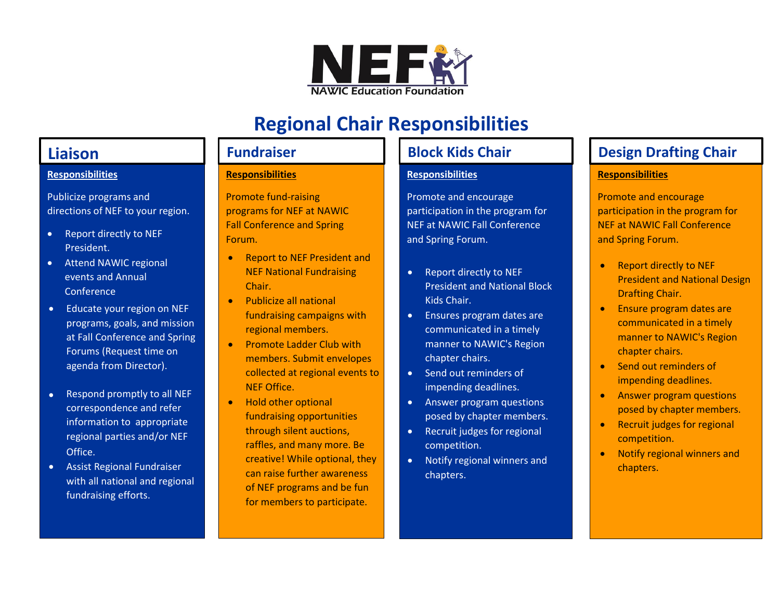

# **Regional Chair Responsibilities**

### **Responsibilities**

Publicize programs and directions of NEF to your region.

- Report directly to NEF President.
- Attend NAWIC regional events and Annual **Conference**
- Educate your region on NEF programs, goals, and mission at Fall Conference and Spring Forums (Request time on agenda from Director).
- Respond promptly to all NEF correspondence and refer information to appropriate regional parties and/or NEF Office.
- Assist Regional Fundraiser with all national and regional fundraising efforts.

### **Responsibilities**

Promote fund-raising programs for NEF at NAWIC Fall Conference and Spring Forum.

- Report to NEF President and NEF National Fundraising Chair.
- Publicize all national fundraising campaigns with regional members.
- Promote Ladder Club with members. Submit envelopes collected at regional events to NEF Office.
- Hold other optional fundraising opportunities through silent auctions, raffles, and many more. Be creative! While optional, they can raise further awareness of NEF programs and be fun for members to participate.

## **Responsibilities**

Promote and encourage participation in the program for NEF at NAWIC Fall Conference and Spring Forum.

- Report directly to NEF President and National Block Kids Chair.
- Ensures program dates are communicated in a timely manner to NAWIC's Region chapter chairs.
- Send out reminders of impending deadlines.
- Answer program questions posed by chapter members.
- Recruit judges for regional competition.
- Notify regional winners and chapters.

## **Liaison Fundraiser Block Kids Chair Design Drafting Chair Properties**

## **Responsibilities**

Promote and encourage participation in the program for NEF at NAWIC Fall Conference and Spring Forum.

- Report directly to NEF President and National Design Drafting Chair.
- **Ensure program dates are** communicated in a timely manner to NAWIC's Region chapter chairs.
- Send out reminders of impending deadlines.
- Answer program questions posed by chapter members.
- Recruit judges for regional competition.
- Notify regional winners and chapters.